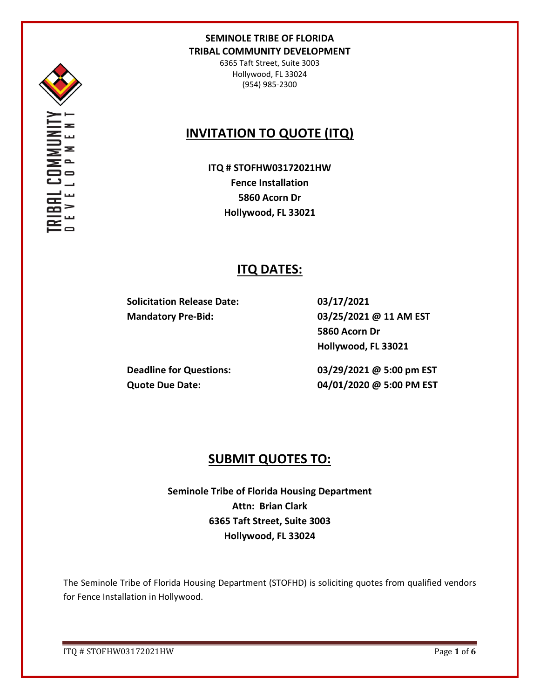

6365 Taft Street, Suite 3003 Hollywood, FL 33024 (954) 985-2300

# **INVITATION TO QUOTE (ITQ)**

**ITQ # STOFHW03172021HW Fence Installation 5860 Acorn Dr Hollywood, FL 33021**

# **ITQ DATES:**

**Solicitation Release Date: 03/17/2021**

**Mandatory Pre-Bid: 03/25/2021 @ 11 AM EST 5860 Acorn Dr Hollywood, FL 33021**

**Deadline for Questions: 03/29/2021 @ 5:00 pm EST Quote Due Date: 04/01/2020 @ 5:00 PM EST**

# **SUBMIT QUOTES TO:**

**Seminole Tribe of Florida Housing Department Attn: Brian Clark 6365 Taft Street, Suite 3003 Hollywood, FL 33024**

The Seminole Tribe of Florida Housing Department (STOFHD) is soliciting quotes from qualified vendors for Fence Installation in Hollywood.

ITQ # STOFHW03172021HW Page **1** of **6**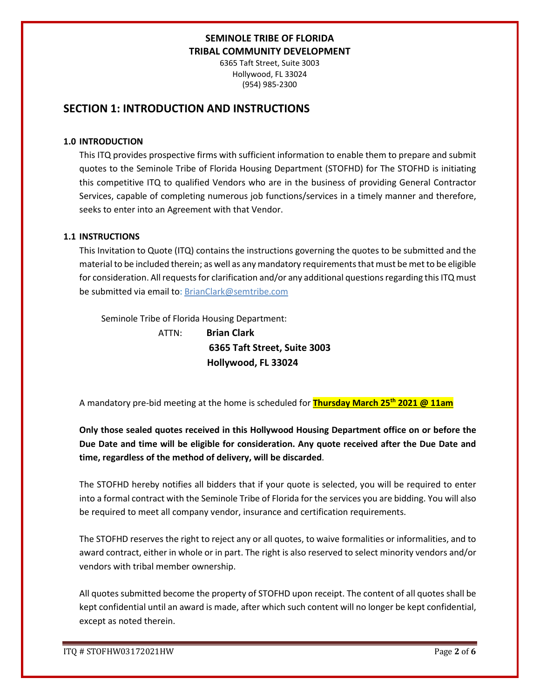6365 Taft Street, Suite 3003 Hollywood, FL 33024 (954) 985-2300

# **SECTION 1: INTRODUCTION AND INSTRUCTIONS**

#### **1.0 INTRODUCTION**

This ITQ provides prospective firms with sufficient information to enable them to prepare and submit quotes to the Seminole Tribe of Florida Housing Department (STOFHD) for The STOFHD is initiating this competitive ITQ to qualified Vendors who are in the business of providing General Contractor Services, capable of completing numerous job functions/services in a timely manner and therefore, seeks to enter into an Agreement with that Vendor.

#### **1.1 INSTRUCTIONS**

This Invitation to Quote (ITQ) contains the instructions governing the quotes to be submitted and the material to be included therein; as well as any mandatory requirements that must be met to be eligible for consideration. All requests for clarification and/or any additional questions regarding this ITQ must be submitted via email to: BrianClark@semtribe.com

Seminole Tribe of Florida Housing Department:

 ATTN: **Brian Clark 6365 Taft Street, Suite 3003 Hollywood, FL 33024**

A mandatory pre-bid meeting at the home is scheduled for **Thursday March 25th 2021 @ 11am**

**Only those sealed quotes received in this Hollywood Housing Department office on or before the Due Date and time will be eligible for consideration. Any quote received after the Due Date and time, regardless of the method of delivery, will be discarded**.

The STOFHD hereby notifies all bidders that if your quote is selected, you will be required to enter into a formal contract with the Seminole Tribe of Florida for the services you are bidding. You will also be required to meet all company vendor, insurance and certification requirements.

The STOFHD reserves the right to reject any or all quotes, to waive formalities or informalities, and to award contract, either in whole or in part. The right is also reserved to select minority vendors and/or vendors with tribal member ownership.

All quotes submitted become the property of STOFHD upon receipt. The content of all quotes shall be kept confidential until an award is made, after which such content will no longer be kept confidential, except as noted therein.

ITQ # STOFHW03172021HW Page **2** of **6**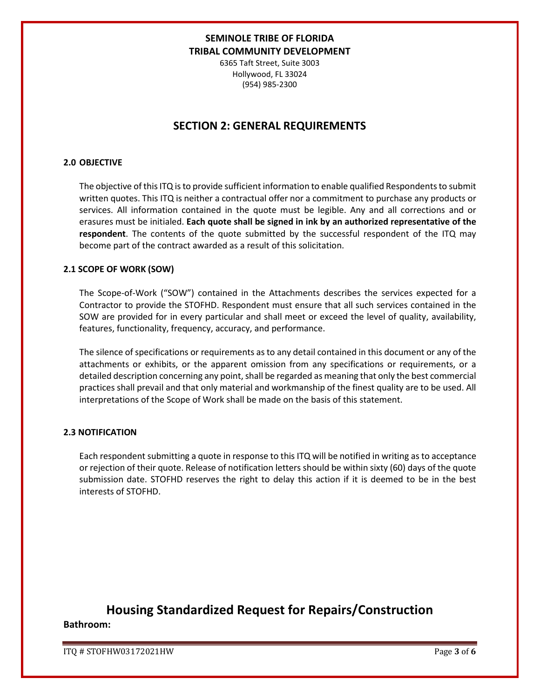6365 Taft Street, Suite 3003 Hollywood, FL 33024 (954) 985-2300

# **SECTION 2: GENERAL REQUIREMENTS**

#### **2.0 OBJECTIVE**

The objective of this ITQ is to provide sufficient information to enable qualified Respondents to submit written quotes. This ITQ is neither a contractual offer nor a commitment to purchase any products or services. All information contained in the quote must be legible. Any and all corrections and or erasures must be initialed. **Each quote shall be signed in ink by an authorized representative of the respondent**. The contents of the quote submitted by the successful respondent of the ITQ may become part of the contract awarded as a result of this solicitation.

#### **2.1 SCOPE OF WORK (SOW)**

The Scope-of-Work ("SOW") contained in the Attachments describes the services expected for a Contractor to provide the STOFHD. Respondent must ensure that all such services contained in the SOW are provided for in every particular and shall meet or exceed the level of quality, availability, features, functionality, frequency, accuracy, and performance.

The silence of specifications or requirements as to any detail contained in this document or any of the attachments or exhibits, or the apparent omission from any specifications or requirements, or a detailed description concerning any point, shall be regarded as meaning that only the best commercial practices shall prevail and that only material and workmanship of the finest quality are to be used. All interpretations of the Scope of Work shall be made on the basis of this statement.

#### **2.3 NOTIFICATION**

Each respondent submitting a quote in response to this ITQ will be notified in writing as to acceptance or rejection of their quote. Release of notification letters should be within sixty (60) days of the quote submission date. STOFHD reserves the right to delay this action if it is deemed to be in the best interests of STOFHD.

# **Housing Standardized Request for Repairs/Construction**

#### **Bathroom:**

ITQ # STOFHW03172021HW Page **3** of **6**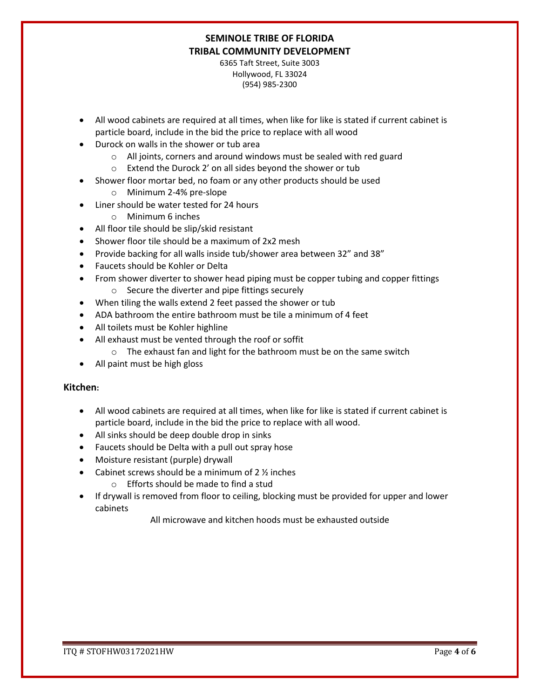6365 Taft Street, Suite 3003 Hollywood, FL 33024 (954) 985-2300

- All wood cabinets are required at all times, when like for like is stated if current cabinet is particle board, include in the bid the price to replace with all wood
- Durock on walls in the shower or tub area
	- o All joints, corners and around windows must be sealed with red guard
	- o Extend the Durock 2' on all sides beyond the shower or tub
- Shower floor mortar bed, no foam or any other products should be used
	- o Minimum 2-4% pre-slope
- Liner should be water tested for 24 hours
	- o Minimum 6 inches
- All floor tile should be slip/skid resistant
- Shower floor tile should be a maximum of 2x2 mesh
- Provide backing for all walls inside tub/shower area between 32" and 38"
- Faucets should be Kohler or Delta
- From shower diverter to shower head piping must be copper tubing and copper fittings o Secure the diverter and pipe fittings securely
- When tiling the walls extend 2 feet passed the shower or tub
- ADA bathroom the entire bathroom must be tile a minimum of 4 feet
- All toilets must be Kohler highline
- All exhaust must be vented through the roof or soffit
	- o The exhaust fan and light for the bathroom must be on the same switch
- All paint must be high gloss

#### **Kitchen:**

- All wood cabinets are required at all times, when like for like is stated if current cabinet is particle board, include in the bid the price to replace with all wood.
- All sinks should be deep double drop in sinks
- Faucets should be Delta with a pull out spray hose
- Moisture resistant (purple) drywall
- Cabinet screws should be a minimum of  $2\frac{1}{2}$  inches
	- o Efforts should be made to find a stud
- If drywall is removed from floor to ceiling, blocking must be provided for upper and lower cabinets

All microwave and kitchen hoods must be exhausted outside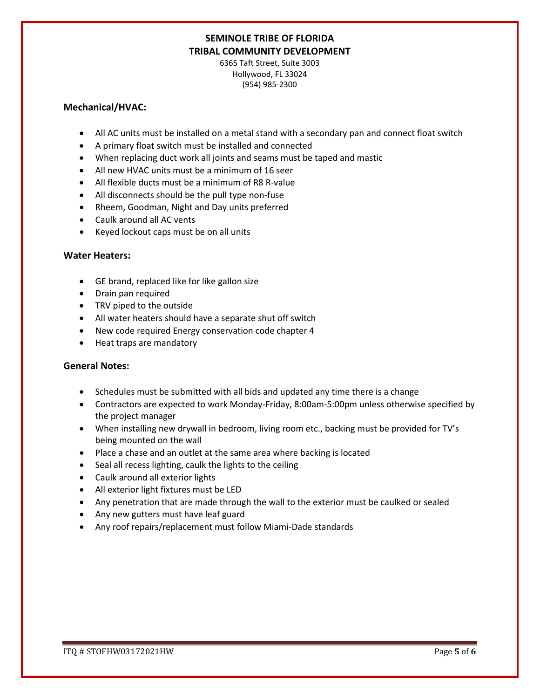6365 Taft Street, Suite 3003 Hollywood, FL 33024 (954) 985-2300

#### **Mechanical/HVAC:**

- All AC units must be installed on a metal stand with a secondary pan and connect float switch
- A primary float switch must be installed and connected
- When replacing duct work all joints and seams must be taped and mastic
- All new HVAC units must be a minimum of 16 seer
- All flexible ducts must be a minimum of R8 R-value
- All disconnects should be the pull type non-fuse
- Rheem, Goodman, Night and Day units preferred
- Caulk around all AC vents
- Keyed lockout caps must be on all units

#### **Water Heaters:**

- GE brand, replaced like for like gallon size
- Drain pan required
- TRV piped to the outside
- All water heaters should have a separate shut off switch
- New code required Energy conservation code chapter 4
- Heat traps are mandatory

#### **General Notes:**

- Schedules must be submitted with all bids and updated any time there is a change
- Contractors are expected to work Monday-Friday, 8:00am-5:00pm unless otherwise specified by the project manager
- When installing new drywall in bedroom, living room etc., backing must be provided for TV's being mounted on the wall
- Place a chase and an outlet at the same area where backing is located
- Seal all recess lighting, caulk the lights to the ceiling
- Caulk around all exterior lights
- All exterior light fixtures must be LED
- Any penetration that are made through the wall to the exterior must be caulked or sealed
- Any new gutters must have leaf guard
- Any roof repairs/replacement must follow Miami-Dade standards